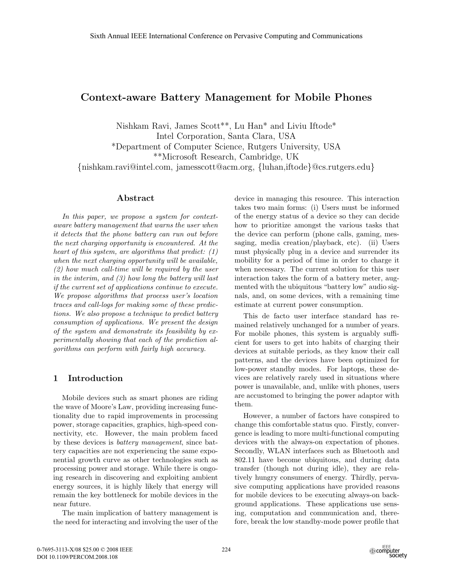# **Context-aware Battery Management for Mobile Phones**

Nishkam Ravi, James Scott\*\*, Lu Han\* and Liviu Iftode\* Intel Corporation, Santa Clara, USA \*Department of Computer Science, Rutgers University, USA \*\*Microsoft Research, Cambridge, UK {nishkam.ravi@intel.com, jamesscott@acm.org, {luhan,iftode}@cs.rutgers.edu}

### **Abstract**

*In this paper, we propose a system for contextaware battery management that warns the user when it detects that the phone battery can run out before the next charging opportunity is encountered. At the heart of this system, are algorithms that predict: (1) when the next charging opportunity will be available, (2) how much call-time will be required by the user in the interim, and (3) how long the battery will last if the current set of applications continue to execute. We propose algorithms that process user's location traces and call-logs for making some of these predictions. We also propose a technique to predict battery consumption of applications. We present the design of the system and demonstrate its feasibility by experimentally showing that each of the prediction algorithms can perform with fairly high accuracy.*

# **1 Introduction**

Mobile devices such as smart phones are riding the wave of Moore's Law, providing increasing functionality due to rapid improvements in processing power, storage capacities, graphics, high-speed connectivity, etc. However, the main problem faced by these devices is *battery management*, since battery capacities are not experiencing the same exponential growth curve as other technologies such as processing power and storage. While there is ongoing research in discovering and exploiting ambient energy sources, it is highly likely that energy will remain the key bottleneck for mobile devices in the near future.

The main implication of battery management is the need for interacting and involving the user of the

device in managing this resource. This interaction takes two main forms: (i) Users must be informed of the energy status of a device so they can decide how to prioritize amongst the various tasks that the device can perform (phone calls, gaming, messaging, media creation/playback, etc). (ii) Users must physically plug in a device and surrender its mobility for a period of time in order to charge it when necessary. The current solution for this user interaction takes the form of a battery meter, augmented with the ubiquitous "battery low" audio signals, and, on some devices, with a remaining time estimate at current power consumption.

This de facto user interface standard has remained relatively unchanged for a number of years. For mobile phones, this system is arguably sufficient for users to get into habits of charging their devices at suitable periods, as they know their call patterns, and the devices have been optimized for low-power standby modes. For laptops, these devices are relatively rarely used in situations where power is unavailable, and, unlike with phones, users are accustomed to bringing the power adaptor with them.

However, a number of factors have conspired to change this comfortable status quo. Firstly, convergence is leading to more multi-functional computing devices with the always-on expectation of phones. Secondly, WLAN interfaces such as Bluetooth and 802.11 have become ubiquitous, and during data transfer (though not during idle), they are relatively hungry consumers of energy. Thirdly, pervasive computing applications have provided reasons for mobile devices to be executing always-on background applications. These applications use sensing, computation and communication and, therefore, break the low standby-mode power profile that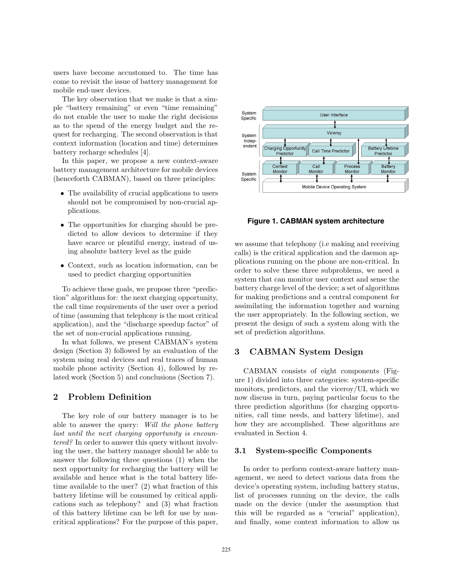users have become accustomed to. The time has come to revisit the issue of battery management for mobile end-user devices.

The key observation that we make is that a simple "battery remaining" or even "time remaining" do not enable the user to make the right decisions as to the spend of the energy budget and the request for recharging. The second observation is that context information (location and time) determines battery recharge schedules [4].

In this paper, we propose a new context-aware battery management architecture for mobile devices (henceforth CABMAN), based on three principles:

- The availability of crucial applications to users should not be compromised by non-crucial applications.
- The opportunities for charging should be predicted to allow devices to determine if they have scarce or plentiful energy, instead of using absolute battery level as the guide
- Context, such as location information, can be used to predict charging opportunities

To achieve these goals, we propose three "prediction" algorithms for: the next charging opportunity, the call time requirements of the user over a period of time (assuming that telephony is the most critical application), and the "discharge speedup factor" of the set of non-crucial applications running.

In what follows, we present CABMAN's system design (Section 3) followed by an evaluation of the system using real devices and real traces of human mobile phone activity (Section 4), followed by related work (Section 5) and conclusions (Section 7).

# **2 Problem Definition**

The key role of our battery manager is to be able to answer the query: *Will the phone battery last until the next charging opportunity is encountered?* In order to answer this query without involving the user, the battery manager should be able to answer the following three questions (1) when the next opportunity for recharging the battery will be available and hence what is the total battery lifetime available to the user? (2) what fraction of this battery lifetime will be consumed by critical applications such as telephony? and (3) what fraction of this battery lifetime can be left for use by noncritical applications? For the purpose of this paper,



#### **Figure 1. CABMAN system architecture**

we assume that telephony (i.e making and receiving calls) is the critical application and the daemon applications running on the phone are non-critical. In order to solve these three subproblems, we need a system that can monitor user context and sense the battery charge level of the device; a set of algorithms for making predictions and a central component for assimilating the information together and warning the user appropriately. In the following section, we present the design of such a system along with the set of prediction algorithms.

# **3 CABMAN System Design**

CABMAN consists of eight components (Figure 1) divided into three categories: system-specific monitors, predictors, and the viceroy/UI, which we now discuss in turn, paying particular focus to the three prediction algorithms (for charging opportunities, call time needs, and battery lifetime), and how they are accomplished. These algorithms are evaluated in Section 4.

# **3.1 System-specific Components**

In order to perform context-aware battery management, we need to detect various data from the device's operating system, including battery status, list of processes running on the device, the calls made on the device (under the assumption that this will be regarded as a "crucial" application), and finally, some context information to allow us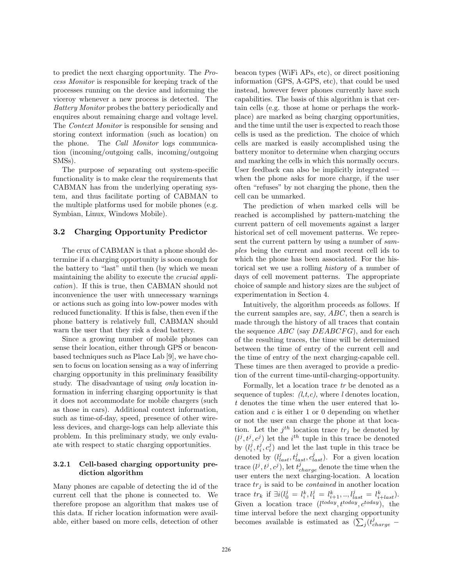to predict the next charging opportunity. The *Process Monitor* is responsible for keeping track of the processes running on the device and informing the viceroy whenever a new process is detected. The *Battery Monitor* probes the battery periodically and enquires about remaining charge and voltage level. The *Context Monitor* is responsible for sensing and storing context information (such as location) on the phone. The *Call Monitor* logs communication (incoming/outgoing calls, incoming/outgoing SMSs).

The purpose of separating out system-specific functionality is to make clear the requirements that CABMAN has from the underlying operating system, and thus facilitate porting of CABMAN to the multiple platforms used for mobile phones (e.g. Symbian, Linux, Windows Mobile).

# **3.2 Charging Opportunity Predictor**

The crux of CABMAN is that a phone should determine if a charging opportunity is soon enough for the battery to "last" until then (by which we mean maintaining the ability to execute the *crucial application*). If this is true, then CABMAN should not inconvenience the user with unnecessary warnings or actions such as going into low-power modes with reduced functionality. If this is false, then even if the phone battery is relatively full, CABMAN should warn the user that they risk a dead battery.

Since a growing number of mobile phones can sense their location, either through GPS or beaconbased techniques such as Place Lab [9], we have chosen to focus on location sensing as a way of inferring charging opportunity in this preliminary feasibility study. The disadvantage of using *only* location information in inferring charging opportunity is that it does not accommodate for mobile chargers (such as those in cars). Additional context information, such as time-of-day, speed, presence of other wireless devices, and charge-logs can help alleviate this problem. In this preliminary study, we only evaluate with respect to static charging opportunities.

### **3.2.1 Cell-based charging opportunity prediction algorithm**

Many phones are capable of detecting the id of the current cell that the phone is connected to. We therefore propose an algorithm that makes use of this data. If richer location information were available, either based on more cells, detection of other

beacon types (WiFi APs, etc), or direct positioning information (GPS, A-GPS, etc), that could be used instead, however fewer phones currently have such capabilities. The basis of this algorithm is that certain cells (e.g. those at home or perhaps the workplace) are marked as being charging opportunities, and the time until the user is expected to reach those cells is used as the prediction. The choice of which cells are marked is easily accomplished using the battery monitor to determine when charging occurs and marking the cells in which this normally occurs. User feedback can also be implicitly integrated when the phone asks for more charge, if the user often "refuses" by not charging the phone, then the cell can be unmarked.

The prediction of when marked cells will be reached is accomplished by pattern-matching the current pattern of cell movements against a larger historical set of cell movement patterns. We represent the current pattern by using a number of *samples* being the current and most recent cell ids to which the phone has been associated. For the historical set we use a rolling *history* of a number of days of cell movement patterns. The appropriate choice of sample and history sizes are the subject of experimentation in Section 4.

Intuitively, the algorithm proceeds as follows. If the current samples are, say, *ABC*, then a search is made through the history of all traces that contain the sequence *ABC* (say *DEABCFG*), and for each of the resulting traces, the time will be determined between the time of entry of the current cell and the time of entry of the next charging-capable cell. These times are then averaged to provide a prediction of the current time-until-charging-opportunity.

Formally, let a location trace *tr* be denoted as a sequence of tuples: *(l,t,c)*, where *l* denotes location, *t* denotes the time when the user entered that location and *c* is either 1 or 0 depending on whether or not the user can charge the phone at that location. Let the  $j^{th}$  location trace  $tr_j$  be denoted by  $(l^j, t^j, c^j)$  let the *i*<sup>th</sup> tuple in this trace be denoted by  $(l_i^j, t_i^j, c_i^j)$  and let the last tuple in this trace be denoted by  $(l_{last}^j, t_{last}^j, c_{last}^j)$ . For a given location trace  $(l^j, t^j, c^j)$ , let  $t^j_{charge}$  denote the time when the user enters the next charging-location. A location trace  $tr_j$  is said to be *contained* in another location  $\text{trace } tr_k \text{ if } \exists i (l_0^j = l_i^k, l_1^j = l_{i+1}^k, ..., l_{last}^j = l_{i+last}^k).$ Given a location trace  $(l^{today}, t^{today}, c^{today})$ , the time interval before the next charging opportunity becomes available is estimated as  $(\sum_{j} (t_{charge}^{j} -$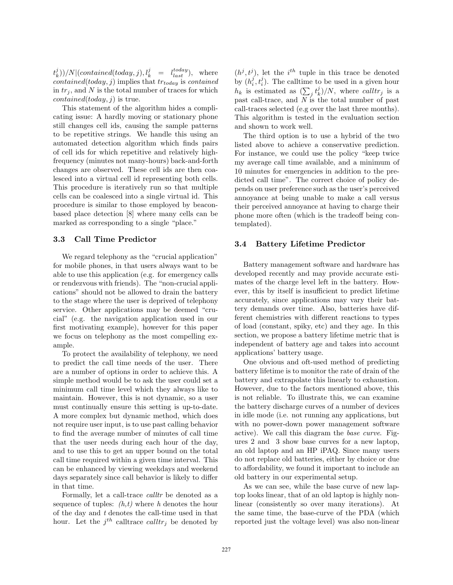$(t_k^j)$ )/N|(*contained*(*today, j*),  $l_k^j = l_{last}^{today}$ ), where *contained*(*today, j*) implies that *trtoday* is *contained* in  $tr_j$ , and  $N$  is the total number of traces for which *contained*(*today, j*) is true.

This statement of the algorithm hides a complicating issue: A hardly moving or stationary phone still changes cell ids, causing the sample patterns to be repetitive strings. We handle this using an automated detection algorithm which finds pairs of cell ids for which repetitive and relatively highfrequency (minutes not many-hours) back-and-forth changes are observed. These cell ids are then coalesced into a virtual cell id representing both cells. This procedure is iteratively run so that multiple cells can be coalesced into a single virtual id. This procedure is similar to those employed by beaconbased place detection [8] where many cells can be marked as corresponding to a single "place."

#### **3.3 Call Time Predictor**

We regard telephony as the "crucial application" for mobile phones, in that users always want to be able to use this application (e.g. for emergency calls or rendezvous with friends). The "non-crucial applications" should not be allowed to drain the battery to the stage where the user is deprived of telephony service. Other applications may be deemed "crucial" (e.g. the navigation application used in our first motivating example), however for this paper we focus on telephony as the most compelling example.

To protect the availability of telephony, we need to predict the call time needs of the user. There are a number of options in order to achieve this. A simple method would be to ask the user could set a minimum call time level which they always like to maintain. However, this is not dynamic, so a user must continually ensure this setting is up-to-date. A more complex but dynamic method, which does not require user input, is to use past calling behavior to find the average number of minutes of call time that the user needs during each hour of the day, and to use this to get an upper bound on the total call time required within a given time interval. This can be enhanced by viewing weekdays and weekend days separately since call behavior is likely to differ in that time.

Formally, let a call-trace *calltr* be denoted as a sequence of tuples: *(h,t)* where *h* denotes the hour of the day and *t* denotes the call-time used in that hour. Let the  $j^{th}$  calltrace *calltr<sub>j</sub>* be denoted by

 $(h^j, t^j)$ , let the *i*<sup>th</sup> tuple in this trace be denoted by  $(h_i^j, t_i^j)$ . The calltime to be used in a given hour  $h_k$  is estimated as  $(\sum_j t_k^j)/N$ , where *calltr<sub>j</sub>* is a past call-trace, and *N* is the total number of past call-traces selected (e.g over the last three months). This algorithm is tested in the evaluation section and shown to work well.

The third option is to use a hybrid of the two listed above to achieve a conservative prediction. For instance, we could use the policy "keep twice my average call time available, and a minimum of 10 minutes for emergencies in addition to the predicted call time". The correct choice of policy depends on user preference such as the user's perceived annoyance at being unable to make a call versus their perceived annoyance at having to charge their phone more often (which is the tradeoff being contemplated).

#### **3.4 Battery Lifetime Predictor**

Battery management software and hardware has developed recently and may provide accurate estimates of the charge level left in the battery. However, this by itself is insufficient to predict lifetime accurately, since applications may vary their battery demands over time. Also, batteries have different chemistries with different reactions to types of load (constant, spiky, etc) and they age. In this section, we propose a battery lifetime metric that is independent of battery age and takes into account applications' battery usage.

One obvious and oft-used method of predicting battery lifetime is to monitor the rate of drain of the battery and extrapolate this linearly to exhaustion. However, due to the factors mentioned above, this is not reliable. To illustrate this, we can examine the battery discharge curves of a number of devices in idle mode (i.e. not running any applications, but with no power-down power management software active). We call this diagram the *base curve*. Figures 2 and 3 show base curves for a new laptop, an old laptop and an HP iPAQ. Since many users do not replace old batteries, either by choice or due to affordability, we found it important to include an old battery in our experimental setup.

As we can see, while the base curve of new laptop looks linear, that of an old laptop is highly nonlinear (consistently so over many iterations). At the same time, the base-curve of the PDA (which reported just the voltage level) was also non-linear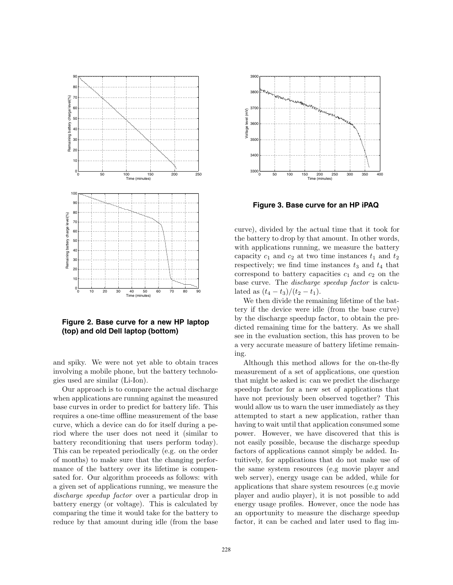

**Figure 2. Base curve for a new HP laptop (top) and old Dell laptop (bottom)**

and spiky. We were not yet able to obtain traces involving a mobile phone, but the battery technologies used are similar (Li-Ion).

Our approach is to compare the actual discharge when applications are running against the measured base curves in order to predict for battery life. This requires a one-time offline measurement of the base curve, which a device can do for itself during a period where the user does not need it (similar to battery reconditioning that users perform today). This can be repeated periodically (e.g. on the order of months) to make sure that the changing performance of the battery over its lifetime is compensated for. Our algorithm proceeds as follows: with a given set of applications running, we measure the *discharge speedup factor* over a particular drop in battery energy (or voltage). This is calculated by comparing the time it would take for the battery to reduce by that amount during idle (from the base



**Figure 3. Base curve for an HP iPAQ**

curve), divided by the actual time that it took for the battery to drop by that amount. In other words, with applications running, we measure the battery capacity  $c_1$  and  $c_2$  at two time instances  $t_1$  and  $t_2$ respectively; we find time instances  $t_3$  and  $t_4$  that correspond to battery capacities  $c_1$  and  $c_2$  on the base curve. The *discharge speedup factor* is calculated as  $(t_4 - t_3)/(t_2 - t_1)$ .

We then divide the remaining lifetime of the battery if the device were idle (from the base curve) by the discharge speedup factor, to obtain the predicted remaining time for the battery. As we shall see in the evaluation section, this has proven to be a very accurate measure of battery lifetime remaining.

Although this method allows for the on-the-fly measurement of a set of applications, one question that might be asked is: can we predict the discharge speedup factor for a new set of applications that have not previously been observed together? This would allow us to warn the user immediately as they attempted to start a new application, rather than having to wait until that application consumed some power. However, we have discovered that this is not easily possible, because the discharge speedup factors of applications cannot simply be added. Intuitively, for applications that do not make use of the same system resources (e.g movie player and web server), energy usage can be added, while for applications that share system resources (e.g movie player and audio player), it is not possible to add energy usage profiles. However, once the node has an opportunity to measure the discharge speedup factor, it can be cached and later used to flag im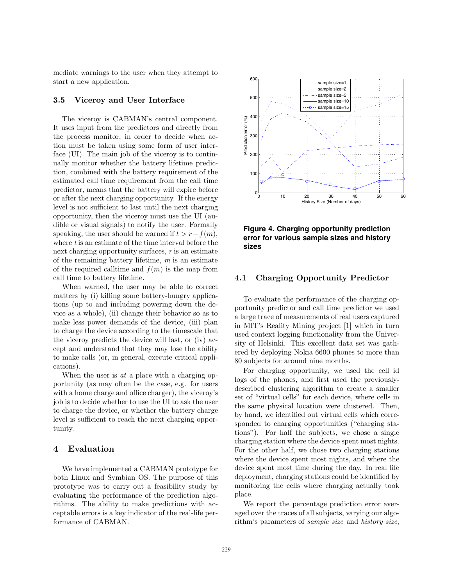mediate warnings to the user when they attempt to start a new application.

#### **3.5 Viceroy and User Interface**

The viceroy is CABMAN's central component. It uses input from the predictors and directly from the process monitor, in order to decide when action must be taken using some form of user interface (UI). The main job of the viceroy is to continually monitor whether the battery lifetime prediction, combined with the battery requirement of the estimated call time requirement from the call time predictor, means that the battery will expire before or after the next charging opportunity. If the energy level is not sufficient to last until the next charging opportunity, then the viceroy must use the UI (audible or visual signals) to notify the user. Formally speaking, the user should be warned if  $t > r - f(m)$ , where *t* is an estimate of the time interval before the next charging opportunity surfaces, *r* is an estimate of the remaining battery lifetime, *m* is an estimate of the required calltime and  $f(m)$  is the map from call time to battery lifetime.

When warned, the user may be able to correct matters by (i) killing some battery-hungry applications (up to and including powering down the device as a whole), (ii) change their behavior so as to make less power demands of the device, (iii) plan to charge the device according to the timescale that the viceroy predicts the device will last, or (iv) accept and understand that they may lose the ability to make calls (or, in general, execute critical applications).

When the user is *at* a place with a charging opportunity (as may often be the case, e.g. for users with a home charge and office charger), the viceroy's job is to decide whether to use the UI to ask the user to charge the device, or whether the battery charge level is sufficient to reach the next charging opportunity.

# **4 Evaluation**

We have implemented a CABMAN prototype for both Linux and Symbian OS. The purpose of this prototype was to carry out a feasibility study by evaluating the performance of the prediction algorithms. The ability to make predictions with acceptable errors is a key indicator of the real-life performance of CABMAN.



**Figure 4. Charging opportunity prediction error for various sample sizes and history sizes**

# **4.1 Charging Opportunity Predictor**

To evaluate the performance of the charging opportunity predictor and call time predictor we used a large trace of measurements of real users captured in MIT's Reality Mining project [1] which in turn used context logging functionality from the University of Helsinki. This excellent data set was gathered by deploying Nokia 6600 phones to more than 80 subjects for around nine months.

For charging opportunity, we used the cell id logs of the phones, and first used the previouslydescribed clustering algorithm to create a smaller set of "virtual cells" for each device, where cells in the same physical location were clustered. Then, by hand, we identified out virtual cells which corresponded to charging opportunities ("charging stations"). For half the subjects, we chose a single charging station where the device spent most nights. For the other half, we chose two charging stations where the device spent most nights, and where the device spent most time during the day. In real life deployment, charging stations could be identified by monitoring the cells where charging actually took place.

We report the percentage prediction error averaged over the traces of all subjects, varying our algorithm's parameters of *sample size* and *history size*,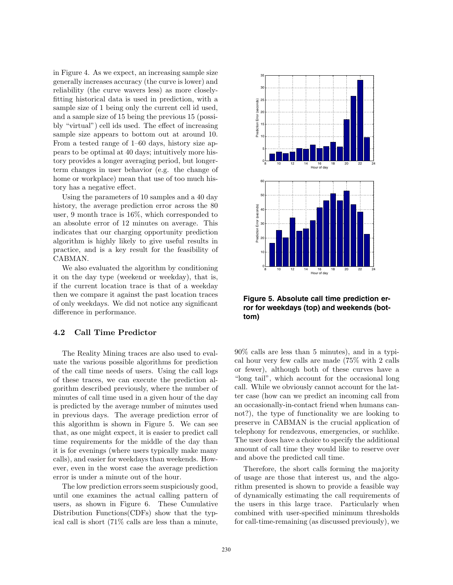in Figure 4. As we expect, an increasing sample size generally increases accuracy (the curve is lower) and reliability (the curve wavers less) as more closelyfitting historical data is used in prediction, with a sample size of 1 being only the current cell id used, and a sample size of 15 being the previous 15 (possibly "virtual") cell ids used. The effect of increasing sample size appears to bottom out at around 10. From a tested range of 1–60 days, history size appears to be optimal at 40 days; intuitively more history provides a longer averaging period, but longerterm changes in user behavior (e.g. the change of home or workplace) mean that use of too much history has a negative effect.

Using the parameters of 10 samples and a 40 day history, the average prediction error across the 80 user, 9 month trace is 16%, which corresponded to an absolute error of 12 minutes on average. This indicates that our charging opportunity prediction algorithm is highly likely to give useful results in practice, and is a key result for the feasibility of CABMAN.

We also evaluated the algorithm by conditioning it on the day type (weekend or weekday), that is, if the current location trace is that of a weekday then we compare it against the past location traces of only weekdays. We did not notice any significant difference in performance.

### **4.2 Call Time Predictor**

The Reality Mining traces are also used to evaluate the various possible algorithms for prediction of the call time needs of users. Using the call logs of these traces, we can execute the prediction algorithm described previously, where the number of minutes of call time used in a given hour of the day is predicted by the average number of minutes used in previous days. The average prediction error of this algorithm is shown in Figure 5. We can see that, as one might expect, it is easier to predict call time requirements for the middle of the day than it is for evenings (where users typically make many calls), and easier for weekdays than weekends. However, even in the worst case the average prediction error is under a minute out of the hour.

The low prediction errors seem suspiciously good, until one examines the actual calling pattern of users, as shown in Figure 6. These Cumulative Distribution Functions(CDFs) show that the typical call is short (71% calls are less than a minute,



**Figure 5. Absolute call time prediction error for weekdays (top) and weekends (bottom)**

90% calls are less than 5 minutes), and in a typical hour very few calls are made (75% with 2 calls or fewer), although both of these curves have a "long tail", which account for the occasional long call. While we obviously cannot account for the latter case (how can we predict an incoming call from an occasionally-in-contact friend when humans cannot?), the type of functionality we are looking to preserve in CABMAN is the crucial application of telephony for rendezvous, emergencies, or suchlike. The user does have a choice to specify the additional amount of call time they would like to reserve over and above the predicted call time.

Therefore, the short calls forming the majority of usage are those that interest us, and the algorithm presented is shown to provide a feasible way of dynamically estimating the call requirements of the users in this large trace. Particularly when combined with user-specified minimum thresholds for call-time-remaining (as discussed previously), we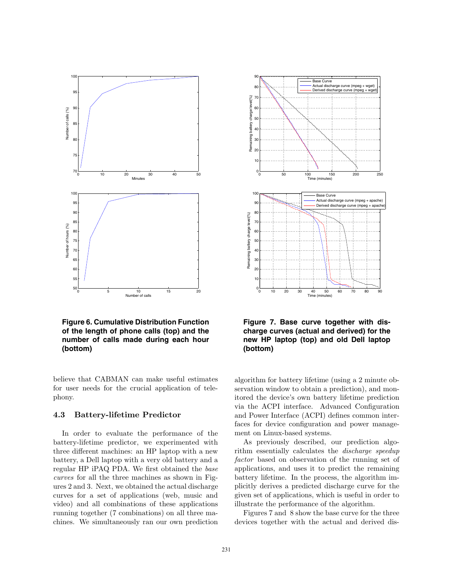

**Figure 6. Cumulative Distribution Function of the length of phone calls (top) and the number of calls made during each hour (bottom)**

believe that CABMAN can make useful estimates for user needs for the crucial application of telephony.

#### **4.3 Battery-lifetime Predictor**

In order to evaluate the performance of the battery-lifetime predictor, we experimented with three different machines: an HP laptop with a new battery, a Dell laptop with a very old battery and a regular HP iPAQ PDA. We first obtained the *base curves* for all the three machines as shown in Figures 2 and 3. Next, we obtained the actual discharge curves for a set of applications (web, music and video) and all combinations of these applications running together (7 combinations) on all three machines. We simultaneously ran our own prediction



**Figure 7. Base curve together with discharge curves (actual and derived) for the new HP laptop (top) and old Dell laptop (bottom)**

algorithm for battery lifetime (using a 2 minute observation window to obtain a prediction), and monitored the device's own battery lifetime prediction via the ACPI interface. Advanced Configuration and Power Interface (ACPI) defines common interfaces for device configuration and power management on Linux-based systems.

As previously described, our prediction algorithm essentially calculates the *discharge speedup factor* based on observation of the running set of applications, and uses it to predict the remaining battery lifetime. In the process, the algorithm implicitly derives a predicted discharge curve for the given set of applications, which is useful in order to illustrate the performance of the algorithm.

Figures 7 and 8 show the base curve for the three devices together with the actual and derived dis-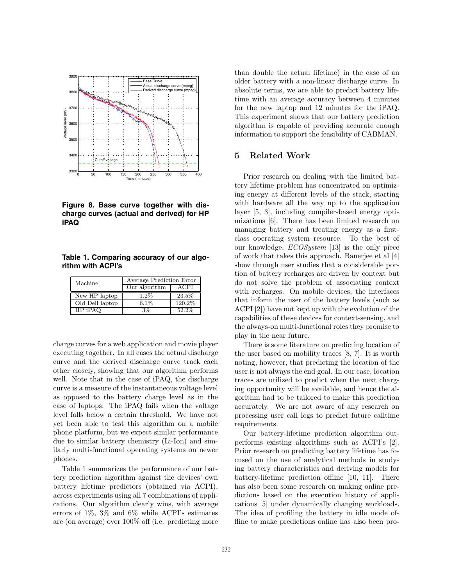

**Figure 8. Base curve together with discharge curves (actual and derived) for HP iPAQ**

| Table 1. Comparing accuracy of our algo- |  |  |
|------------------------------------------|--|--|
| rithm with ACPI's                        |  |  |

| Machine         | Average Prediction Error  |          |  |
|-----------------|---------------------------|----------|--|
|                 | $\overline{Our$ algorithm | ACPI     |  |
| New HP laptop   | $1.2\%$                   | 23.5%    |  |
| Old Dell laptop | $6.1\%$                   | 120.2%   |  |
| HP iPAO         | $3\%$                     | $52.2\%$ |  |

charge curves for a web application and movie player executing together. In all cases the actual discharge curve and the derived discharge curve track each other closely, showing that our algorithm performs well. Note that in the case of iPAQ, the discharge curve is a measure of the instantaneous voltage level as opposed to the battery charge level as in the case of laptops. The iPAQ fails when the voltage level falls below a certain threshold. We have not yet been able to test this algorithm on a mobile phone platform, but we expect similar performance due to similar battery chemistry (Li-Ion) and similarly multi-functional operating systems on newer phones.

Table 1 summarizes the performance of our battery prediction algorithm against the devices' own battery lifetime predictors (obtained via ACPI), across experiments using all 7 combinations of applications. Our algorithm clearly wins, with average errors of 1%, 3% and 6% while ACPI's estimates are (on average) over 100% off (i.e. predicting more

than double the actual lifetime) in the case of an older battery with a non-linear discharge curve. In absolute terms, we are able to predict battery lifetime with an average accuracy between 4 minutes for the new laptop and 12 minutes for the iPAQ. This experiment shows that our battery prediction algorithm is capable of providing accurate enough information to support the feasibility of CABMAN.

# **5 Related Work**

Prior research on dealing with the limited battery lifetime problem has concentrated on optimizing energy at different levels of the stack, starting with hardware all the way up to the application layer [5, 3], including compiler-based energy optimizations [6]. There has been limited research on managing battery and treating energy as a firstclass operating system resource. To the best of our knowledge, *ECOSystem* [13] is the only piece of work that takes this approach. Banerjee et al [4] show through user studies that a considerable portion of battery recharges are driven by context but do not solve the problem of associating context with recharges. On mobile devices, the interfaces that inform the user of the battery levels (such as ACPI [2]) have not kept up with the evolution of the capabilities of these devices for context-sensing, and the always-on multi-functional roles they promise to play in the near future.

There is some literature on predicting location of the user based on mobility traces [8, 7]. It is worth noting, however, that predicting the location of the user is not always the end goal. In our case, location traces are utilized to predict when the next charging opportunity will be available, and hence the algorithm had to be tailored to make this prediction accurately. We are not aware of any research on processing user call logs to predict future calltime requirements.

Our battery-lifetime prediction algorithm outperforms existing algorithms such as ACPI's [2]. Prior research on predicting battery lifetime has focused on the use of analytical methods in studying battery characteristics and deriving models for battery-lifetime prediction offline [10, 11]. There has also been some research on making online predictions based on the execution history of applications [5] under dynamically changing workloads. The idea of profiling the battery in idle mode offline to make predictions online has also been pro